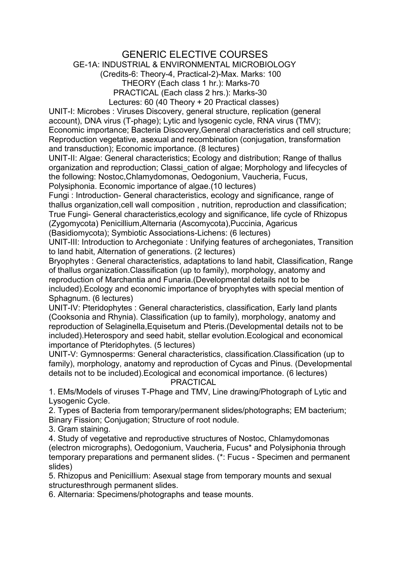## GENERIC ELECTIVE COURSES

## GE-1A: INDUSTRIAL & ENVIRONMENTAL MICROBIOLOGY

(Credits-6: Theory-4, Practical-2)-Max. Marks: 100

THEORY (Each class 1 hr.): Marks-70 PRACTICAL (Each class 2 hrs.): Marks-30

Lectures: 60 (40 Theory + 20 Practical classes)

UNIT-I: Microbes : Viruses Discovery, general structure, replication (general account), DNA virus (T-phage); Lytic and lysogenic cycle, RNA virus (TMV); Economic importance; Bacteria Discovery,General characteristics and cell structure; Reproduction vegetative, asexual and recombination (conjugation, transformation and transduction); Economic importance. (8 lectures)

UNIT-II: Algae: General characteristics; Ecology and distribution; Range of thallus organization and reproduction; Classi\_cation of algae; Morphology and lifecycles of the following: Nostoc,Chlamydomonas, Oedogonium, Vaucheria, Fucus,

Polysiphonia. Economic importance of algae.(10 lectures)

Fungi : Introduction- General characteristics, ecology and significance, range of thallus organization,cell wall composition , nutrition, reproduction and classification; True Fungi- General characteristics,ecology and significance, life cycle of Rhizopus (Zygomycota) Penicillium,Alternaria (Ascomycota),Puccinia, Agaricus (Basidiomycota); Symbiotic Associations-Lichens: (6 lectures)

UNIT-III: Introduction to Archegoniate : Unifying features of archegoniates, Transition to land habit, Alternation of generations. (2 lectures)

Bryophytes : General characteristics, adaptations to land habit, Classification, Range of thallus organization.Classification (up to family), morphology, anatomy and reproduction of Marchantia and Funaria.(Developmental details not to be included).Ecology and economic importance of bryophytes with special mention of Sphagnum. (6 lectures)

UNIT-IV: Pteridophytes : General characteristics, classification, Early land plants (Cooksonia and Rhynia). Classification (up to family), morphology, anatomy and reproduction of Selaginella,Equisetum and Pteris.(Developmental details not to be included).Heterospory and seed habit, stellar evolution.Ecological and economical importance of Pteridophytes. (5 lectures)

UNIT-V: Gymnosperms: General characteristics, classification.Classification (up to family), morphology, anatomy and reproduction of Cycas and Pinus. (Developmental details not to be included).Ecological and economical importance. (6 lectures) PRACTICAL

1. EMs/Models of viruses T-Phage and TMV, Line drawing/Photograph of Lytic and Lysogenic Cycle.

2. Types of Bacteria from temporary/permanent slides/photographs; EM bacterium; Binary Fission; Conjugation; Structure of root nodule.

3. Gram staining.

4. Study of vegetative and reproductive structures of Nostoc, Chlamydomonas (electron micrographs), Oedogonium, Vaucheria, Fucus\* and Polysiphonia through temporary preparations and permanent slides. (\*: Fucus - Specimen and permanent slides)

5. Rhizopus and Penicillium: Asexual stage from temporary mounts and sexual structuresthrough permanent slides.

6. Alternaria: Specimens/photographs and tease mounts.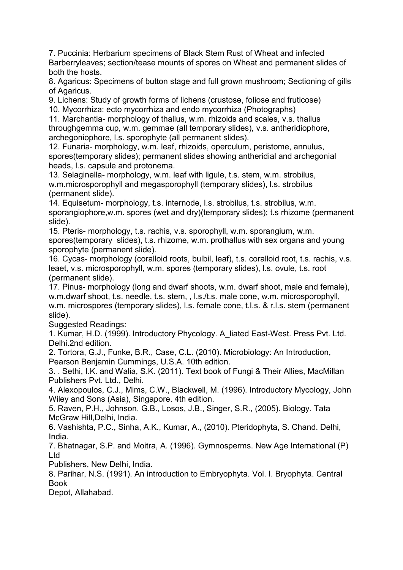7. Puccinia: Herbarium specimens of Black Stem Rust of Wheat and infected Barberryleaves; section/tease mounts of spores on Wheat and permanent slides of both the hosts.

8. Agaricus: Specimens of button stage and full grown mushroom; Sectioning of gills of Agaricus.

9. Lichens: Study of growth forms of lichens (crustose, foliose and fruticose)

10. Mycorrhiza: ecto mycorrhiza and endo mycorrhiza (Photographs)

11. Marchantia- morphology of thallus, w.m. rhizoids and scales, v.s. thallus throughgemma cup, w.m. gemmae (all temporary slides), v.s. antheridiophore, archegoniophore, l.s. sporophyte (all permanent slides).

12. Funaria- morphology, w.m. leaf, rhizoids, operculum, peristome, annulus, spores(temporary slides); permanent slides showing antheridial and archegonial heads, l.s. capsule and protonema.

13. Selaginella- morphology, w.m. leaf with ligule, t.s. stem, w.m. strobilus, w.m.microsporophyll and megasporophyll (temporary slides), l.s. strobilus (permanent slide).

14. Equisetum- morphology, t.s. internode, l.s. strobilus, t.s. strobilus, w.m. sporangiophore,w.m. spores (wet and dry)(temporary slides); t.s rhizome (permanent slide).

15. Pteris- morphology, t.s. rachis, v.s. sporophyll, w.m. sporangium, w.m. spores(temporary slides), t.s. rhizome, w.m. prothallus with sex organs and young sporophyte (permanent slide).

16. Cycas- morphology (coralloid roots, bulbil, leaf), t.s. coralloid root, t.s. rachis, v.s. leaet, v.s. microsporophyll, w.m. spores (temporary slides), l.s. ovule, t.s. root (permanent slide).

17. Pinus- morphology (long and dwarf shoots, w.m. dwarf shoot, male and female), w.m.dwarf shoot, t.s. needle, t.s. stem, , l.s./t.s. male cone, w.m. microsporophyll, w.m. microspores (temporary slides), l.s. female cone, t.l.s. & r.l.s. stem (permanent slide).

Suggested Readings:

1. Kumar, H.D. (1999). Introductory Phycology. A\_liated East-West. Press Pvt. Ltd. Delhi.2nd edition.

2. Tortora, G.J., Funke, B.R., Case, C.L. (2010). Microbiology: An Introduction, Pearson Benjamin Cummings, U.S.A. 10th edition.

3. . Sethi, I.K. and Walia, S.K. (2011). Text book of Fungi & Their Allies, MacMillan Publishers Pvt. Ltd., Delhi.

4. Alexopoulos, C.J., Mims, C.W., Blackwell, M. (1996). Introductory Mycology, John Wiley and Sons (Asia), Singapore. 4th edition.

5. Raven, P.H., Johnson, G.B., Losos, J.B., Singer, S.R., (2005). Biology. Tata McGraw Hill,Delhi, India.

6. Vashishta, P.C., Sinha, A.K., Kumar, A., (2010). Pteridophyta, S. Chand. Delhi, India.

7. Bhatnagar, S.P. and Moitra, A. (1996). Gymnosperms. New Age International (P) Ltd

Publishers, New Delhi, India.

8. Parihar, N.S. (1991). An introduction to Embryophyta. Vol. I. Bryophyta. Central Book

Depot, Allahabad.